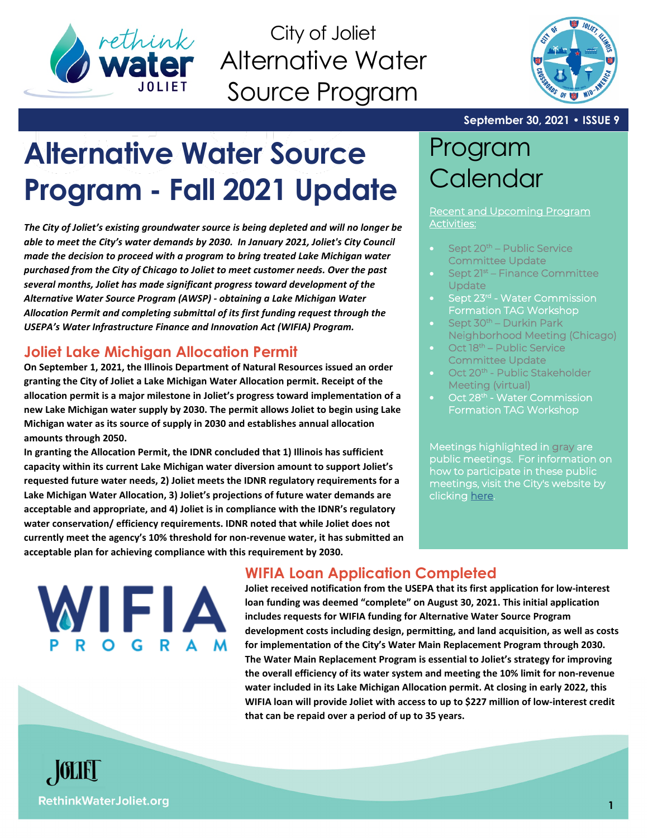

City of Joliet Alternative Water Source Program



#### **September 30, 2021 • ISSUE 9**

# **Alternative Water Source Program - Fall 2021 Update**

*The City of Joliet's existing groundwater source is being depleted and will no longer be able to meet the City's water demands by 2030. In January 2021, Joliet's City Council made the decision to proceed with a program to bring treated Lake Michigan water purchased from the City of Chicago to Joliet to meet customer needs. Over the past several months, Joliet has made significant progress toward development of the Alternative Water Source Program (AWSP) - obtaining a Lake Michigan Water Allocation Permit and completing submittal of its first funding request through the USEPA's Water Infrastructure Finance and Innovation Act (WIFIA) Program.*

### **Joliet Lake Michigan Allocation Permit**

**On September 1, 2021, the Illinois Department of Natural Resources issued an order granting the City of Joliet a Lake Michigan Water Allocation permit. Receipt of the allocation permit is a major milestone in Joliet's progress toward implementation of a new Lake Michigan water supply by 2030. The permit allows Joliet to begin using Lake Michigan water as its source of supply in 2030 and establishes annual allocation amounts through 2050.**

**In granting the Allocation Permit, the IDNR concluded that 1) Illinois has sufficient capacity within its current Lake Michigan water diversion amount to support Joliet's requested future water needs, 2) Joliet meets the IDNR regulatory requirements for a Lake Michigan Water Allocation, 3) Joliet's projections of future water demands are acceptable and appropriate, and 4) Joliet is in compliance with the IDNR's regulatory water conservation/ efficiency requirements. IDNR noted that while Joliet does not currently meet the agency's 10% threshold for non-revenue water, it has submitted an acceptable plan for achieving compliance with this requirement by 2030.**

# Program **Calendar**

Recent and Upcoming Program Activities:

- Sept 20<sup>th</sup> Public Service Committee Update
- Sept 21<sup>st</sup> Finance Committee Update
- Sept 23<sup>rd</sup> Water Commission Formation TAG Workshop
- Sept 30<sup>th</sup> Durkin Park Neighborhood Meeting (Chicago)
- Oct 18<sup>th</sup> Public Service Committee Update
- Oct 20<sup>th</sup> Public Stakeholder Meeting (virtual)
- Oct 28<sup>th</sup> Water Commission Formation TAG Workshop

Meetings highlighted in gray are public meetings. For information on how to participate in these public meetings, visit the City's website by clicking [here.](https://www.joliet.gov/departments/city-clerk-s-office/meeting-schedule-procedure) 



## **WIFIA Loan Application Completed**

**Joliet received notification from the USEPA that its first application for low-interest loan funding was deemed "complete" on August 30, 2021. This initial application includes requests for WIFIA funding for Alternative Water Source Program development costs including design, permitting, and land acquisition, as well as costs for implementation of the City's Water Main Replacement Program through 2030. The Water Main Replacement Program is essential to Joliet's strategy for improving the overall efficiency of its water system and meeting the 10% limit for non-revenue water included in its Lake Michigan Allocation permit. At closing in early 2022, this WIFIA loan will provide Joliet with access to up to \$227 million of low-interest credit that can be repaid over a period of up to 35 years.**